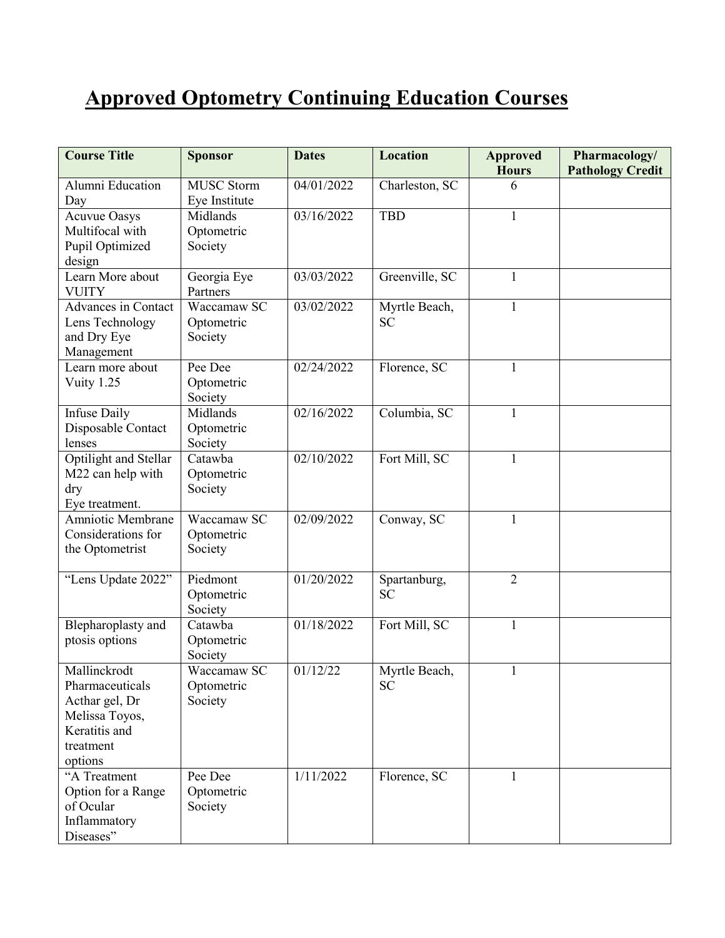## **Approved Optometry Continuing Education Courses**

| <b>Course Title</b>                        | <b>Sponsor</b>    | <b>Dates</b> | <b>Location</b> | <b>Approved</b> | Pharmacology/           |
|--------------------------------------------|-------------------|--------------|-----------------|-----------------|-------------------------|
|                                            |                   |              |                 | <b>Hours</b>    | <b>Pathology Credit</b> |
| Alumni Education                           | <b>MUSC Storm</b> | 04/01/2022   | Charleston, SC  | 6               |                         |
| Day                                        | Eye Institute     |              |                 |                 |                         |
| <b>Acuvue Oasys</b>                        | Midlands          | 03/16/2022   | <b>TBD</b>      | $\mathbf{1}$    |                         |
| Multifocal with                            | Optometric        |              |                 |                 |                         |
| Pupil Optimized                            | Society           |              |                 |                 |                         |
| design                                     |                   |              |                 |                 |                         |
| Learn More about                           | Georgia Eye       | 03/03/2022   | Greenville, SC  | $\mathbf{1}$    |                         |
| <b>VUITY</b>                               | Partners          |              |                 |                 |                         |
| <b>Advances in Contact</b>                 | Waccamaw SC       | 03/02/2022   | Myrtle Beach,   | $\mathbf{1}$    |                         |
| Lens Technology                            | Optometric        |              | <b>SC</b>       |                 |                         |
| and Dry Eye                                | Society           |              |                 |                 |                         |
| Management                                 |                   |              |                 |                 |                         |
| Learn more about                           | Pee Dee           | 02/24/2022   | Florence, SC    | 1               |                         |
| Vuity 1.25                                 | Optometric        |              |                 |                 |                         |
|                                            | Society           |              |                 |                 |                         |
| <b>Infuse Daily</b>                        | Midlands          | 02/16/2022   | Columbia, SC    | $\mathbf{1}$    |                         |
| Disposable Contact                         | Optometric        |              |                 |                 |                         |
| lenses                                     | Society           |              |                 |                 |                         |
| Optilight and Stellar                      | Catawba           | 02/10/2022   | Fort Mill, SC   | 1               |                         |
| M22 can help with                          | Optometric        |              |                 |                 |                         |
| dry                                        | Society           |              |                 |                 |                         |
| Eye treatment.<br><b>Amniotic Membrane</b> | Waccamaw SC       | 02/09/2022   | Conway, SC      | 1               |                         |
| Considerations for                         | Optometric        |              |                 |                 |                         |
| the Optometrist                            | Society           |              |                 |                 |                         |
|                                            |                   |              |                 |                 |                         |
| "Lens Update 2022"                         | Piedmont          | 01/20/2022   | Spartanburg,    | $\overline{2}$  |                         |
|                                            | Optometric        |              | <b>SC</b>       |                 |                         |
|                                            | Society           |              |                 |                 |                         |
| Blepharoplasty and                         | Catawba           | 01/18/2022   | Fort Mill, SC   | $\mathbf{1}$    |                         |
| ptosis options                             | Optometric        |              |                 |                 |                         |
|                                            | Society           |              |                 |                 |                         |
| Mallinckrodt                               | Waccamaw SC       | 01/12/22     | Myrtle Beach,   | 1               |                         |
| Pharmaceuticals                            | Optometric        |              | <b>SC</b>       |                 |                         |
| Acthar gel, Dr                             | Society           |              |                 |                 |                         |
| Melissa Toyos,                             |                   |              |                 |                 |                         |
| Keratitis and                              |                   |              |                 |                 |                         |
| treatment                                  |                   |              |                 |                 |                         |
| options                                    |                   |              |                 |                 |                         |
| "A Treatment                               | Pee Dee           | 1/11/2022    | Florence, SC    | 1               |                         |
| Option for a Range                         | Optometric        |              |                 |                 |                         |
| of Ocular                                  | Society           |              |                 |                 |                         |
| Inflammatory                               |                   |              |                 |                 |                         |
| Diseases"                                  |                   |              |                 |                 |                         |